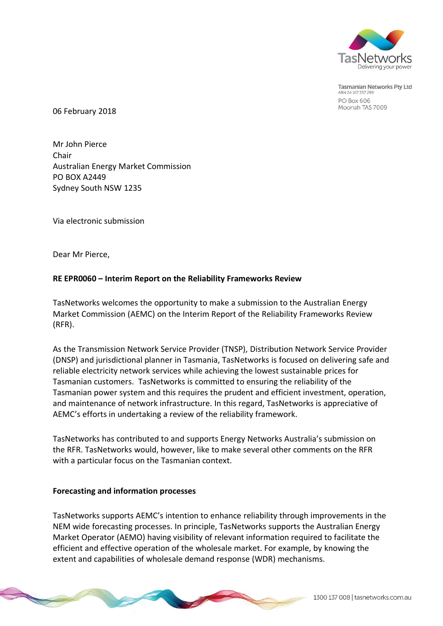

**Tasmanian Networks Ptv Ltd** ABN 24 167 357 299 **PO Box 606** Moonah TAS 7009

06 February 2018

Mr John Pierce Chair Australian Energy Market Commission PO BOX A2449 Sydney South NSW 1235

Via electronic submission

Dear Mr Pierce,

## **RE EPR0060 – Interim Report on the Reliability Frameworks Review**

TasNetworks welcomes the opportunity to make a submission to the Australian Energy Market Commission (AEMC) on the Interim Report of the Reliability Frameworks Review (RFR).

As the Transmission Network Service Provider (TNSP), Distribution Network Service Provider (DNSP) and jurisdictional planner in Tasmania, TasNetworks is focused on delivering safe and reliable electricity network services while achieving the lowest sustainable prices for Tasmanian customers. TasNetworks is committed to ensuring the reliability of the Tasmanian power system and this requires the prudent and efficient investment, operation, and maintenance of network infrastructure. In this regard, TasNetworks is appreciative of AEMC's efforts in undertaking a review of the reliability framework.

TasNetworks has contributed to and supports Energy Networks Australia's submission on the RFR. TasNetworks would, however, like to make several other comments on the RFR with a particular focus on the Tasmanian context.

## **Forecasting and information processes**

TasNetworks supports AEMC's intention to enhance reliability through improvements in the NEM wide forecasting processes. In principle, TasNetworks supports the Australian Energy Market Operator (AEMO) having visibility of relevant information required to facilitate the efficient and effective operation of the wholesale market. For example, by knowing the extent and capabilities of wholesale demand response (WDR) mechanisms.

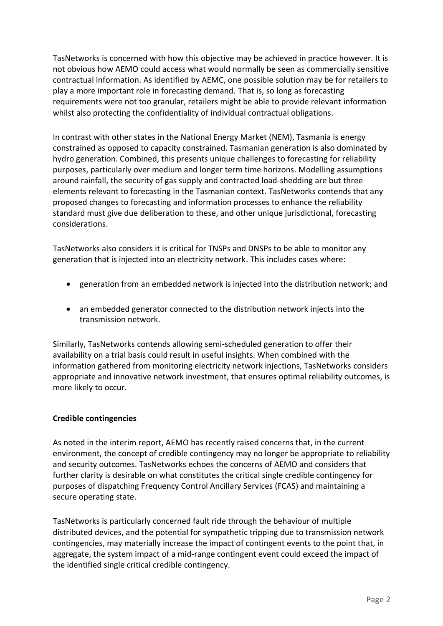TasNetworks is concerned with how this objective may be achieved in practice however. It is not obvious how AEMO could access what would normally be seen as commercially sensitive contractual information. As identified by AEMC, one possible solution may be for retailers to play a more important role in forecasting demand. That is, so long as forecasting requirements were not too granular, retailers might be able to provide relevant information whilst also protecting the confidentiality of individual contractual obligations.

In contrast with other states in the National Energy Market (NEM), Tasmania is energy constrained as opposed to capacity constrained. Tasmanian generation is also dominated by hydro generation. Combined, this presents unique challenges to forecasting for reliability purposes, particularly over medium and longer term time horizons. Modelling assumptions around rainfall, the security of gas supply and contracted load-shedding are but three elements relevant to forecasting in the Tasmanian context. TasNetworks contends that any proposed changes to forecasting and information processes to enhance the reliability standard must give due deliberation to these, and other unique jurisdictional, forecasting considerations.

TasNetworks also considers it is critical for TNSPs and DNSPs to be able to monitor any generation that is injected into an electricity network. This includes cases where:

- generation from an embedded network is injected into the distribution network; and
- an embedded generator connected to the distribution network injects into the transmission network.

Similarly, TasNetworks contends allowing semi-scheduled generation to offer their availability on a trial basis could result in useful insights. When combined with the information gathered from monitoring electricity network injections, TasNetworks considers appropriate and innovative network investment, that ensures optimal reliability outcomes, is more likely to occur.

# **Credible contingencies**

As noted in the interim report, AEMO has recently raised concerns that, in the current environment, the concept of credible contingency may no longer be appropriate to reliability and security outcomes. TasNetworks echoes the concerns of AEMO and considers that further clarity is desirable on what constitutes the critical single credible contingency for purposes of dispatching Frequency Control Ancillary Services (FCAS) and maintaining a secure operating state.

TasNetworks is particularly concerned fault ride through the behaviour of multiple distributed devices, and the potential for sympathetic tripping due to transmission network contingencies, may materially increase the impact of contingent events to the point that, in aggregate, the system impact of a mid-range contingent event could exceed the impact of the identified single critical credible contingency.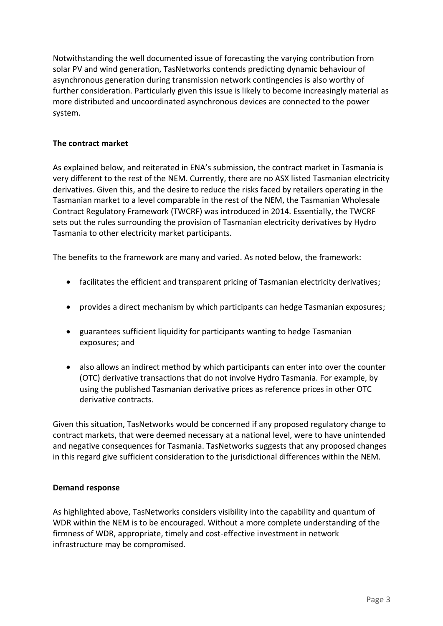Notwithstanding the well documented issue of forecasting the varying contribution from solar PV and wind generation, TasNetworks contends predicting dynamic behaviour of asynchronous generation during transmission network contingencies is also worthy of further consideration. Particularly given this issue is likely to become increasingly material as more distributed and uncoordinated asynchronous devices are connected to the power system.

## **The contract market**

As explained below, and reiterated in ENA's submission, the contract market in Tasmania is very different to the rest of the NEM. Currently, there are no ASX listed Tasmanian electricity derivatives. Given this, and the desire to reduce the risks faced by retailers operating in the Tasmanian market to a level comparable in the rest of the NEM, the Tasmanian Wholesale Contract Regulatory Framework (TWCRF) was introduced in 2014. Essentially, the TWCRF sets out the rules surrounding the provision of Tasmanian electricity derivatives by Hydro Tasmania to other electricity market participants.

The benefits to the framework are many and varied. As noted below, the framework:

- facilitates the efficient and transparent pricing of Tasmanian electricity derivatives;
- provides a direct mechanism by which participants can hedge Tasmanian exposures;
- guarantees sufficient liquidity for participants wanting to hedge Tasmanian exposures; and
- also allows an indirect method by which participants can enter into over the counter (OTC) derivative transactions that do not involve Hydro Tasmania. For example, by using the published Tasmanian derivative prices as reference prices in other OTC derivative contracts.

Given this situation, TasNetworks would be concerned if any proposed regulatory change to contract markets, that were deemed necessary at a national level, were to have unintended and negative consequences for Tasmania. TasNetworks suggests that any proposed changes in this regard give sufficient consideration to the jurisdictional differences within the NEM.

## **Demand response**

As highlighted above, TasNetworks considers visibility into the capability and quantum of WDR within the NEM is to be encouraged. Without a more complete understanding of the firmness of WDR, appropriate, timely and cost-effective investment in network infrastructure may be compromised.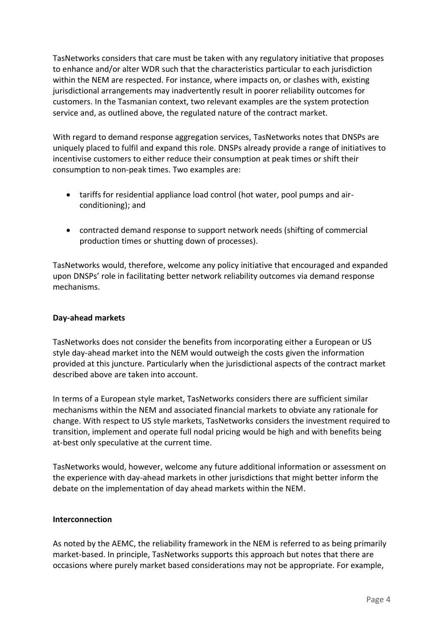TasNetworks considers that care must be taken with any regulatory initiative that proposes to enhance and/or alter WDR such that the characteristics particular to each jurisdiction within the NEM are respected. For instance, where impacts on, or clashes with, existing jurisdictional arrangements may inadvertently result in poorer reliability outcomes for customers. In the Tasmanian context, two relevant examples are the system protection service and, as outlined above, the regulated nature of the contract market.

With regard to demand response aggregation services, TasNetworks notes that DNSPs are uniquely placed to fulfil and expand this role. DNSPs already provide a range of initiatives to incentivise customers to either reduce their consumption at peak times or shift their consumption to non-peak times. Two examples are:

- tariffs for residential appliance load control (hot water, pool pumps and airconditioning); and
- contracted demand response to support network needs (shifting of commercial production times or shutting down of processes).

TasNetworks would, therefore, welcome any policy initiative that encouraged and expanded upon DNSPs' role in facilitating better network reliability outcomes via demand response mechanisms.

# **Day-ahead markets**

TasNetworks does not consider the benefits from incorporating either a European or US style day-ahead market into the NEM would outweigh the costs given the information provided at this juncture. Particularly when the jurisdictional aspects of the contract market described above are taken into account.

In terms of a European style market, TasNetworks considers there are sufficient similar mechanisms within the NEM and associated financial markets to obviate any rationale for change. With respect to US style markets, TasNetworks considers the investment required to transition, implement and operate full nodal pricing would be high and with benefits being at-best only speculative at the current time.

TasNetworks would, however, welcome any future additional information or assessment on the experience with day-ahead markets in other jurisdictions that might better inform the debate on the implementation of day ahead markets within the NEM.

## **Interconnection**

As noted by the AEMC, the reliability framework in the NEM is referred to as being primarily market-based. In principle, TasNetworks supports this approach but notes that there are occasions where purely market based considerations may not be appropriate. For example,